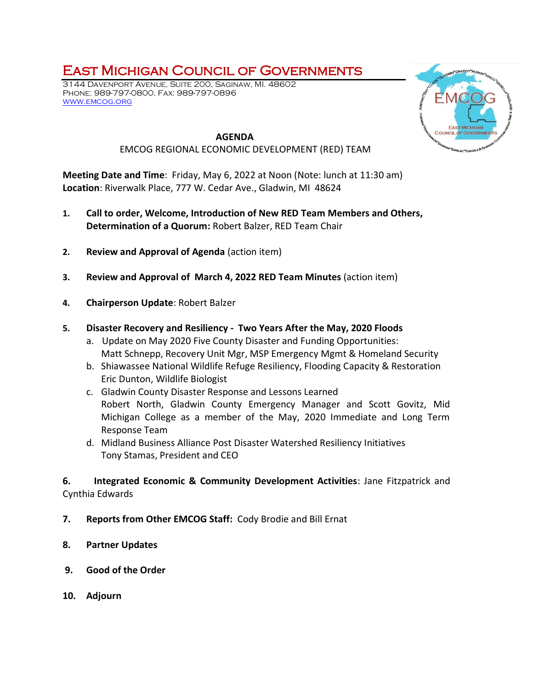## East Michigan Council of Governments

3144 Davenport Avenue, Suite 200, Saginaw, MI. 48602 Phone: 989-797-0800, Fax: 989-797-0896 [www.emcog.org](http://www.emcog.org/)

## **AGENDA**

## EMCOG REGIONAL ECONOMIC DEVELOPMENT (RED) TEAM

**Meeting Date and Time**: Friday, May 6, 2022 at Noon (Note: lunch at 11:30 am) **Location**: Riverwalk Place, 777 W. Cedar Ave., Gladwin, MI 48624

- **1. Call to order, Welcome, Introduction of New RED Team Members and Others, Determination of a Quorum:** Robert Balzer, RED Team Chair
- **2. Review and Approval of Agenda** (action item)
- **3. Review and Approval of March 4, 2022 RED Team Minutes** (action item)
- **4. Chairperson Update**: Robert Balzer
- **5. Disaster Recovery and Resiliency Two Years After the May, 2020 Floods**
	- a. Update on May 2020 Five County Disaster and Funding Opportunities: Matt Schnepp, Recovery Unit Mgr, MSP Emergency Mgmt & Homeland Security
	- b. Shiawassee National Wildlife Refuge Resiliency, Flooding Capacity & Restoration Eric Dunton, Wildlife Biologist
	- c. Gladwin County Disaster Response and Lessons Learned Robert North, Gladwin County Emergency Manager and Scott Govitz, Mid Michigan College as a member of the May, 2020 Immediate and Long Term Response Team
	- d. Midland Business Alliance Post Disaster Watershed Resiliency Initiatives Tony Stamas, President and CEO

**6. Integrated Economic & Community Development Activities**: Jane Fitzpatrick and Cynthia Edwards

- **7. Reports from Other EMCOG Staff:** Cody Brodie and Bill Ernat
- **8. Partner Updates**
- **9. Good of the Order**
- **10. Adjourn**